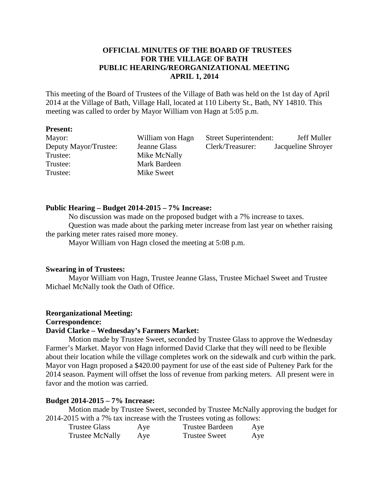# **OFFICIAL MINUTES OF THE BOARD OF TRUSTEES FOR THE VILLAGE OF BATH PUBLIC HEARING/REORGANIZATIONAL MEETING APRIL 1, 2014**

This meeting of the Board of Trustees of the Village of Bath was held on the 1st day of April 2014 at the Village of Bath, Village Hall, located at 110 Liberty St., Bath, NY 14810. This meeting was called to order by Mayor William von Hagn at 5:05 p.m.

#### **Present:**

| Mayor:                | William von Hagn | <b>Street Superintendent:</b> | Jeff Muller        |
|-----------------------|------------------|-------------------------------|--------------------|
| Deputy Mayor/Trustee: | Jeanne Glass     | Clerk/Treasurer:              | Jacqueline Shroyer |
| Trustee:              | Mike McNally     |                               |                    |
| Trustee:              | Mark Bardeen     |                               |                    |
| Trustee:              | Mike Sweet       |                               |                    |

# **Public Hearing – Budget 2014-2015 – 7% Increase:**

 No discussion was made on the proposed budget with a 7% increase to taxes. Question was made about the parking meter increase from last year on whether raising the parking meter rates raised more money.

Mayor William von Hagn closed the meeting at 5:08 p.m.

# **Swearing in of Trustees:**

Mayor William von Hagn, Trustee Jeanne Glass, Trustee Michael Sweet and Trustee Michael McNally took the Oath of Office.

### **Reorganizational Meeting:**

**Correspondence:** 

#### **David Clarke – Wednesday's Farmers Market:**

Motion made by Trustee Sweet, seconded by Trustee Glass to approve the Wednesday Farmer's Market. Mayor von Hagn informed David Clarke that they will need to be flexible about their location while the village completes work on the sidewalk and curb within the park. Mayor von Hagn proposed a \$420.00 payment for use of the east side of Pulteney Park for the 2014 season. Payment will offset the loss of revenue from parking meters. All present were in favor and the motion was carried.

#### **Budget 2014-2015 – 7% Increase:**

Motion made by Trustee Sweet, seconded by Trustee McNally approving the budget for 2014-2015 with a 7% tax increase with the Trustees voting as follows:

| Trustee Glass   | Aye | <b>Trustee Bardeen</b> | Aye |
|-----------------|-----|------------------------|-----|
| Trustee McNally | Aye | <b>Trustee Sweet</b>   | Aye |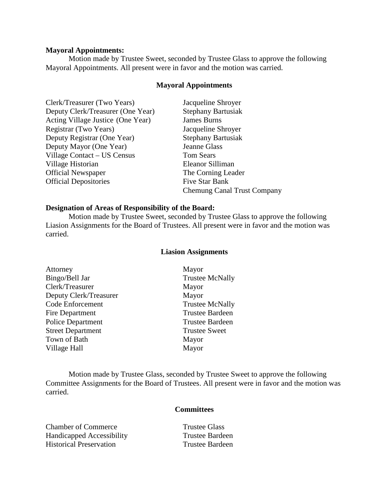#### **Mayoral Appointments:**

 Motion made by Trustee Sweet, seconded by Trustee Glass to approve the following Mayoral Appointments. All present were in favor and the motion was carried.

# **Mayoral Appointments**

| Clerk/Treasurer (Two Years)       | Jacqueline Shroyer                 |
|-----------------------------------|------------------------------------|
| Deputy Clerk/Treasurer (One Year) | <b>Stephany Bartusiak</b>          |
| Acting Village Justice (One Year) | <b>James Burns</b>                 |
| Registrar (Two Years)             | Jacqueline Shroyer                 |
| Deputy Registrar (One Year)       | <b>Stephany Bartusiak</b>          |
| Deputy Mayor (One Year)           | Jeanne Glass                       |
| Village Contact – US Census       | <b>Tom Sears</b>                   |
| Village Historian                 | Eleanor Silliman                   |
| <b>Official Newspaper</b>         | The Corning Leader                 |
| <b>Official Depositories</b>      | Five Star Bank                     |
|                                   | <b>Chemung Canal Trust Company</b> |

#### **Designation of Areas of Responsibility of the Board:**

 Motion made by Trustee Sweet, seconded by Trustee Glass to approve the following Liasion Assignments for the Board of Trustees. All present were in favor and the motion was carried.

# **Liasion Assignments**

| Attorney                 | Mayor                  |
|--------------------------|------------------------|
| Bingo/Bell Jar           | <b>Trustee McNally</b> |
| Clerk/Treasurer          | Mayor                  |
| Deputy Clerk/Treasurer   | Mayor                  |
| Code Enforcement         | <b>Trustee McNally</b> |
| Fire Department          | <b>Trustee Bardeen</b> |
| <b>Police Department</b> | <b>Trustee Bardeen</b> |
| <b>Street Department</b> | <b>Trustee Sweet</b>   |
| Town of Bath             | Mayor                  |
| Village Hall             | Mayor                  |

 Motion made by Trustee Glass, seconded by Trustee Sweet to approve the following Committee Assignments for the Board of Trustees. All present were in favor and the motion was carried.

# **Committees**

| <b>Chamber of Commerce</b>     | Trustee Glass          |
|--------------------------------|------------------------|
| Handicapped Accessibility      | Trustee Bardeen        |
| <b>Historical Preservation</b> | <b>Trustee Bardeen</b> |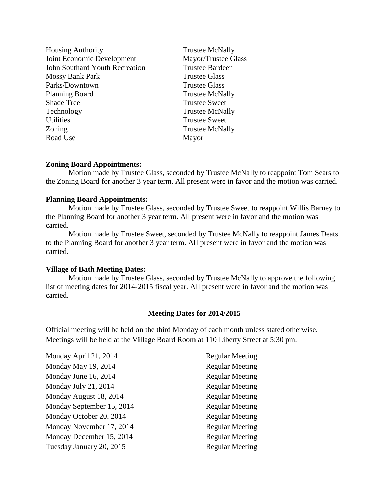| <b>Housing Authority</b>              | <b>Trustee McNally</b> |
|---------------------------------------|------------------------|
| <b>Joint Economic Development</b>     | Mayor/Trustee Glass    |
| <b>John Southard Youth Recreation</b> | <b>Trustee Bardeen</b> |
| Mossy Bank Park                       | <b>Trustee Glass</b>   |
| Parks/Downtown                        | <b>Trustee Glass</b>   |
| <b>Planning Board</b>                 | <b>Trustee McNally</b> |
| <b>Shade Tree</b>                     | <b>Trustee Sweet</b>   |
| Technology                            | <b>Trustee McNally</b> |
| <b>Utilities</b>                      | <b>Trustee Sweet</b>   |
| Zoning                                | <b>Trustee McNally</b> |
| Road Use                              | Mayor                  |
|                                       |                        |

# **Zoning Board Appointments:**

Motion made by Trustee Glass, seconded by Trustee McNally to reappoint Tom Sears to the Zoning Board for another 3 year term. All present were in favor and the motion was carried.

#### **Planning Board Appointments:**

Motion made by Trustee Glass, seconded by Trustee Sweet to reappoint Willis Barney to the Planning Board for another 3 year term. All present were in favor and the motion was carried.

 Motion made by Trustee Sweet, seconded by Trustee McNally to reappoint James Deats to the Planning Board for another 3 year term. All present were in favor and the motion was carried.

### **Village of Bath Meeting Dates:**

 Motion made by Trustee Glass, seconded by Trustee McNally to approve the following list of meeting dates for 2014-2015 fiscal year. All present were in favor and the motion was carried.

#### **Meeting Dates for 2014/2015**

Official meeting will be held on the third Monday of each month unless stated otherwise. Meetings will be held at the Village Board Room at 110 Liberty Street at 5:30 pm.

| Monday April 21, 2014     | <b>Regular Meeting</b> |
|---------------------------|------------------------|
| Monday May 19, 2014       | <b>Regular Meeting</b> |
| Monday June 16, 2014      | <b>Regular Meeting</b> |
| Monday July 21, 2014      | <b>Regular Meeting</b> |
| Monday August 18, 2014    | <b>Regular Meeting</b> |
| Monday September 15, 2014 | <b>Regular Meeting</b> |
| Monday October 20, 2014   | <b>Regular Meeting</b> |
| Monday November 17, 2014  | <b>Regular Meeting</b> |
| Monday December 15, 2014  | <b>Regular Meeting</b> |
| Tuesday January 20, 2015  | <b>Regular Meeting</b> |
|                           |                        |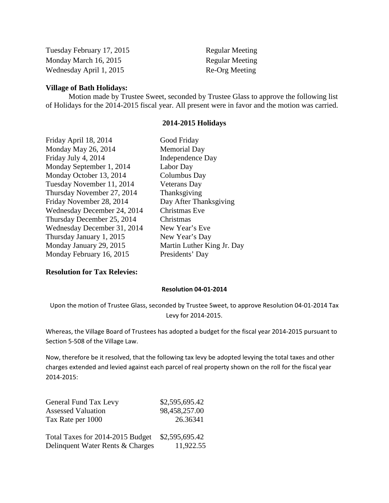| Tuesday February 17, 2015 | <b>Regular Meeting</b> |
|---------------------------|------------------------|
| Monday March 16, 2015     | <b>Regular Meeting</b> |
| Wednesday April 1, 2015   | Re-Org Meeting         |

## **Village of Bath Holidays:**

Motion made by Trustee Sweet, seconded by Trustee Glass to approve the following list of Holidays for the 2014-2015 fiscal year. All present were in favor and the motion was carried.

#### **2014-2015 Holidays**

| Friday April 18, 2014       | Good Friday                |
|-----------------------------|----------------------------|
| Monday May 26, 2014         | <b>Memorial Day</b>        |
| Friday July 4, 2014         | Independence Day           |
| Monday September 1, 2014    | Labor Day                  |
| Monday October 13, 2014     | Columbus Day               |
| Tuesday November 11, 2014   | <b>Veterans</b> Day        |
| Thursday November 27, 2014  | Thanksgiving               |
| Friday November 28, 2014    | Day After Thanksgiving     |
| Wednesday December 24, 2014 | Christmas Eve              |
| Thursday December 25, 2014  | Christmas                  |
| Wednesday December 31, 2014 | New Year's Eve             |
| Thursday January 1, 2015    | New Year's Day             |
| Monday January 29, 2015     | Martin Luther King Jr. Day |
| Monday February 16, 2015    | Presidents' Day            |
|                             |                            |

# **Resolution for Tax Relevies:**

#### Resolution 04-01-2014

Upon the motion of Trustee Glass, seconded by Trustee Sweet, to approve Resolution 04-01-2014 Tax Levy for 2014-2015.

Whereas, the Village Board of Trustees has adopted a budget for the fiscal year 2014-2015 pursuant to Section 5-508 of the Village Law.

Now, therefore be it resolved, that the following tax levy be adopted levying the total taxes and other charges extended and levied against each parcel of real property shown on the roll for the fiscal year 2014-2015:

| General Fund Tax Levy            | \$2,595,695.42 |
|----------------------------------|----------------|
| <b>Assessed Valuation</b>        | 98,458,257.00  |
| Tax Rate per 1000                | 26.36341       |
| Total Taxes for 2014-2015 Budget | \$2,595,695.42 |
| Delinquent Water Rents & Charges | 11,922.55      |